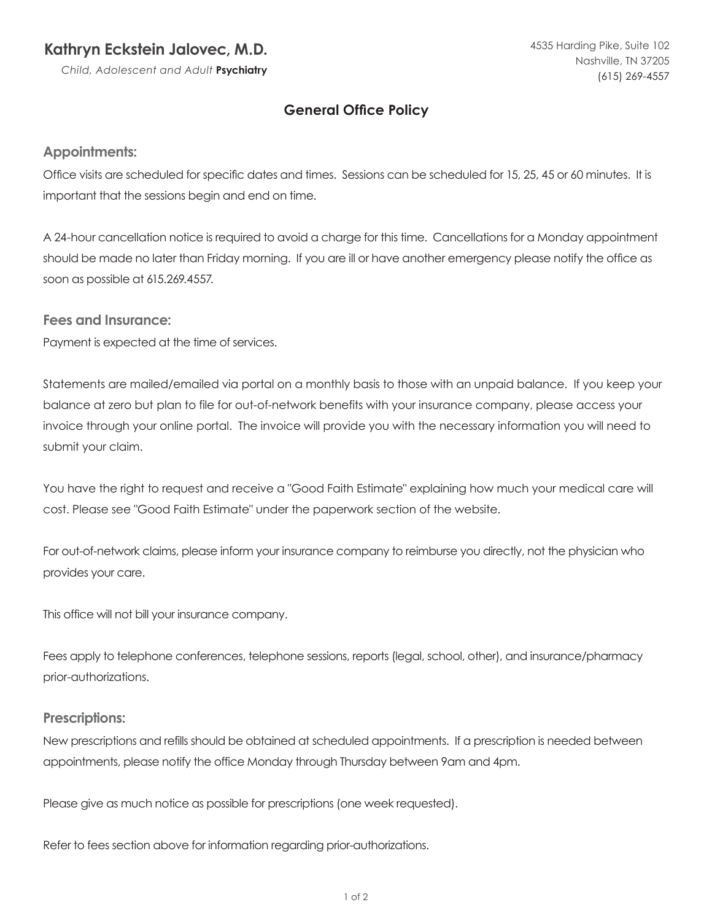# **Kathryn Eckstein Jalovec, M.D.**

*Child, Adolescent and Adult* **Psychiatry**

# **General Office Policy**

### **Appointments:**

Office visits are scheduled for specific dates and times. Sessions can be scheduled for 15, 25, 45 or 60 minutes. It is important that the sessions begin and end on time.

A 24-hour cancellation notice is required to avoid a charge for this time. Cancellations for a Monday appointment should be made no later than Friday morning. If you are ill or have another emergency please notify the office as soon as possible at 615.269.4557.

**Fees and Insurance:**

Payment is expected at the time of services.

Statements are mailed/emailed via portal on a monthly basis to those with an unpaid balance. If you keep your balance at zero but plan to file for out-of-network benefits with your insurance company, please access your invoice through your online portal. The invoice will provide you with the necessary information you will need to submit your claim.

You have the right to request and receive a "Good Faith Estimate" explaining how much your medical care will cost. Please see "Good Faith Estimate" under the paperwork section of the website.

For out-of-network claims, please inform your insurance company to reimburse you directly, not the physician who provides your care.

This office will not bill your insurance company.

Fees apply to telephone conferences, telephone sessions, reports (legal, school, other), and insurance/pharmacy prior-authorizations.

#### **Prescriptions:**

New prescriptions and refills should be obtained at scheduled appointments. If a prescription is needed between appointments, please notify the office Monday through Thursday between 9am and 4pm.

Please give as much notice as possible for prescriptions (one week requested).

Refer to fees section above for information regarding prior-authorizations.